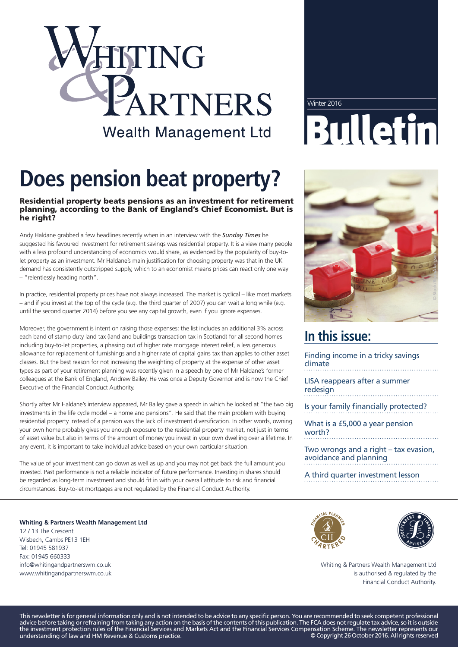# ITING RTNERS **Wealth Management Ltd**

### Winter 2016 Bulletin

## **Does pension beat property?**

#### Residential property beats pensions as an investment for retirement planning, according to the Bank of England's Chief Economist. But is he right?

Andy Haldane grabbed a few headlines recently when in an interview with the *Sunday Times* he suggested his favoured investment for retirement savings was residential property. It is a view many people with a less profound understanding of economics would share, as evidenced by the popularity of buy-tolet property as an investment. Mr Haldane's main justification for choosing property was that in the UK demand has consistently outstripped supply, which to an economist means prices can react only one way – "relentlessly heading north".

In practice, residential property prices have not always increased. The market is cyclical – like most markets – and if you invest at the top of the cycle (e.g. the third quarter of 2007) you can wait a long while (e.g. until the second quarter 2014) before you see any capital growth, even if you ignore expenses.

Moreover, the government is intent on raising those expenses: the list includes an additional 3% across each band of stamp duty land tax (land and buildings transaction tax in Scotland) for all second homes including buy-to-let properties, a phasing out of higher rate mortgage interest relief, a less generous allowance for replacement of furnishings and a higher rate of capital gains tax than applies to other asset classes. But the best reason for not increasing the weighting of property at the expense of other asset types as part of your retirement planning was recently given in a speech by one of Mr Haldane's former colleagues at the Bank of England, Andrew Bailey. He was once a Deputy Governor and is now the Chief Executive of the Financial Conduct Authority.

Shortly after Mr Haldane's interview appeared, Mr Bailey gave a speech in which he looked at "the two big investments in the life cycle model – a home and pensions". He said that the main problem with buying residential property instead of a pension was the lack of investment diversification. In other words, owning your own home probably gives you enough exposure to the residential property market, not just in terms of asset value but also in terms of the amount of money you invest in your own dwelling over a lifetime. In any event, it is important to take individual advice based on your own particular situation.

The value of your investment can go down as well as up and you may not get back the full amount you invested. Past performance is not a reliable indicator of future performance. Investing in shares should be regarded as long-term investment and should fit in with your overall attitude to risk and financial circumstances. Buy-to-let mortgages are not regulated by the Financial Conduct Authority.

**Whiting & Partners Wealth Management Ltd** 12 / 13 The Crescent Wisbech, Cambs PE13 1EH Tel: 01945 581937 Fax: 01945 660333 info@whitingandpartnerswm.co.uk www.whitingandpartnerswm.co.uk



#### **In this issue:**

| Finding income in a tricky savings<br>climate<br>.              |
|-----------------------------------------------------------------|
| LISA reappears after a summer<br>redesign                       |
| Is your family financially protected?                           |
| What is a £5,000 a year pension<br>worth?                       |
| Two wrongs and a right – tax evasion,<br>avoidance and planning |

A third quarter investment lesson





Whiting & Partners Wealth Management Ltd is authorised & regulated by the Financial Conduct Authority.

This newsletter is for general information only and is not intended to be advice to any specific person. You are recommended to seek competent professional advice before taking or refraining from taking any action on the basis of the contents of this publication. The FCA does not regulate tax advice, so it is outside the investment protection rules of the Financial Services and Markets Act and the Financial Services Compensation Scheme. The newsletter represents our understanding of law and HM Revenue & Customs practice. © Copyright 26 October 2016. All rights reserved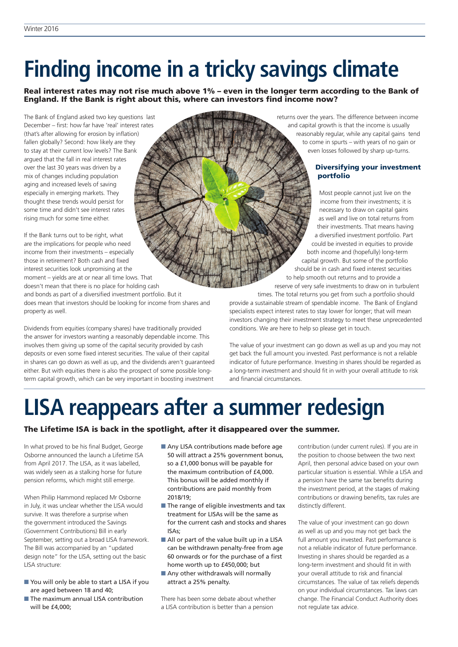### **Finding income in a tricky savings climate**

Real interest rates may not rise much above 1% – even in the longer term according to the Bank of England. If the Bank is right about this, where can investors find income now?

The Bank of England asked two key questions last December – first: how far have 'real' interest rates (that's after allowing for erosion by inflation) fallen globally? Second: how likely are they to stay at their current low levels? The Bank argued that the fall in real interest rates over the last 30 years was driven by a mix of changes including population aging and increased levels of saving especially in emerging markets. They thought these trends would persist for some time and didn't see interest rates rising much for some time either.

If the Bank turns out to be right, what are the implications for people who need income from their investments – especially those in retirement? Both cash and fixed interest securities look unpromising at the moment – yields are at or near all time lows. That doesn't mean that there is no place for holding cash **© Si ot ck/Toms93**

and bonds as part of a diversified investment portfolio. But it does mean that investors should be looking for income from shares and property as well.

Dividends from equities (company shares) have traditionally provided the answer for investors wanting a reasonably dependable income. This involves them giving up some of the capital security provided by cash deposits or even some fixed interest securities. The value of their capital in shares can go down as well as up, and the dividends aren't guaranteed either. But with equities there is also the prospect of some possible longterm capital growth, which can be very important in boosting investment returns over the years. The difference between income and capital growth is that the income is usually reasonably regular, while any capital gains tend to come in spurts – with years of no gain or even losses followed by sharp up-turns.

#### Diversifying your investment portfolio

Most people cannot just live on the income from their investments; it is necessary to draw on capital gains as well and live on total returns from their investments. That means having a diversified investment portfolio. Part could be invested in equities to provide both income and (hopefully) long-term capital growth. But some of the portfolio should be in cash and fixed interest securities to help smooth out returns and to provide a reserve of very safe investments to draw on in turbulent

times. The total returns you get from such a portfolio should provide a sustainable stream of spendable income. The Bank of England specialists expect interest rates to stay lower for longer; that will mean investors changing their investment strategy to meet these unprecedented conditions. We are here to help so please get in touch.

The value of your investment can go down as well as up and you may not get back the full amount you invested. Past performance is not a reliable indicator of future performance. Investing in shares should be regarded as a long-term investment and should fit in with your overall attitude to risk and financial circumstances.

### **LISA reappears after a summer redesign**

#### The Lifetime ISA is back in the spotlight, after it disappeared over the summer.

In what proved to be his final Budget, George Osborne announced the launch a Lifetime ISA from April 2017. The LISA, as it was labelled, was widely seen as a stalking horse for future pension reforms, which might still emerge.

When Philip Hammond replaced Mr Osborne in July, it was unclear whether the LISA would survive. It was therefore a surprise when the government introduced the Savings (Government Contributions) Bill in early September, setting out a broad LISA framework. The Bill was accompanied by an "updated design note" for the LISA, setting out the basic LISA structure:

- You will only be able to start a LISA if you are aged between 18 and 40;
- The maximum annual LISA contribution will be £4,000;
- Any LISA contributions made before age 50 will attract a 25% government bonus, so a £1,000 bonus will be payable for the maximum contribution of £4,000. This bonus will be added monthly if contributions are paid monthly from 2018/19;
- $\blacksquare$  The range of eligible investments and tax treatment for LISAs will be the same as for the current cash and stocks and shares ISAs;
- $\blacksquare$  All or part of the value built up in a LISA can be withdrawn penalty-free from age 60 onwards or for the purchase of a first home worth up to £450,000; but
- $\blacksquare$  Any other withdrawals will normally attract a 25% penalty.

There has been some debate about whether a LISA contribution is better than a pension

contribution (under current rules). If you are in the position to choose between the two next April, then personal advice based on your own particular situation is essential. While a LISA and a pension have the same tax benefits during the investment period, at the stages of making contributions or drawing benefits, tax rules are distinctly different.

The value of your investment can go down as well as up and you may not get back the full amount you invested. Past performance is not a reliable indicator of future performance. Investing in shares should be regarded as a long-term investment and should fit in with your overall attitude to risk and financial circumstances. The value of tax reliefs depends on your individual circumstances. Tax laws can change. The Financial Conduct Authority does not regulate tax advice.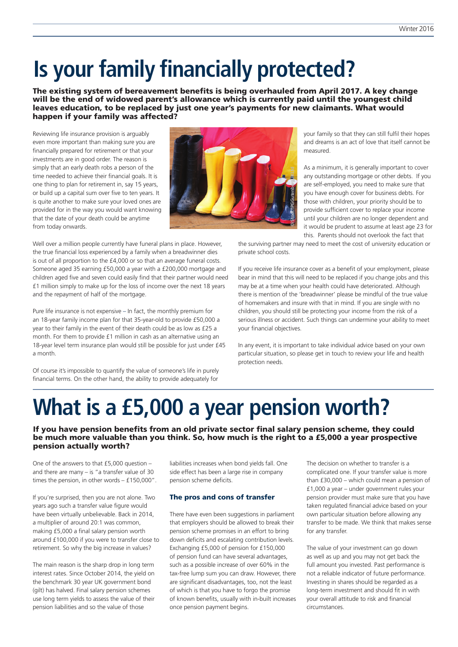### **Is your family financially protected?**

The existing system of bereavement benefits is being overhauled from April 2017. A key change will be the end of widowed parent's allowance which is currently paid until the youngest child leaves education, to be replaced by just one year's payments for new claimants. What would happen if your family was affected?

Reviewing life insurance provision is arguably even more important than making sure you are financially prepared for retirement or that your investments are in good order. The reason is simply that an early death robs a person of the time needed to achieve their financial goals. It is one thing to plan for retirement in, say 15 years, or build up a capital sum over five to ten years. It is quite another to make sure your loved ones are provided for in the way you would want knowing that the date of your death could be anytime from today onwards.



Well over a million people currently have funeral plans in place. However, the true financial loss experienced by a family when a breadwinner dies is out of all proportion to the £4,000 or so that an average funeral costs. Someone aged 35 earning £50,000 a year with a £200,000 mortgage and children aged five and seven could easily find that their partner would need £1 million simply to make up for the loss of income over the next 18 years and the repayment of half of the mortgage.

Pure life insurance is not expensive – In fact, the monthly premium for an 18-year family income plan for that 35-year-old to provide £50,000 a year to their family in the event of their death could be as low as £25 a month. For them to provide £1 million in cash as an alternative using an 18-year level term insurance plan would still be possible for just under £45 a month.

Of course it's impossible to quantify the value of someone's life in purely financial terms. On the other hand, the ability to provide adequately for

your family so that they can still fulfil their hopes and dreams is an act of love that itself cannot be measured.

As a minimum, it is generally important to cover any outstanding mortgage or other debts. If you are self-employed, you need to make sure that you have enough cover for business debts. For those with children, your priority should be to provide sufficient cover to replace your income until your children are no longer dependent and it would be prudent to assume at least age 23 for this. Parents should not overlook the fact that

the surviving partner may need to meet the cost of university education or private school costs.

If you receive life insurance cover as a benefit of your employment, please bear in mind that this will need to be replaced if you change jobs and this may be at a time when your health could have deteriorated. Although there is mention of the 'breadwinner' please be mindful of the true value of homemakers and insure with that in mind. If you are single with no children, you should still be protecting your income from the risk of a serious illness or accident. Such things can undermine your ability to meet your financial objectives.

In any event, it is important to take individual advice based on your own particular situation, so please get in touch to review your life and health protection needs.

### **What is a £5,000 a year pension worth?**

If you have pension benefits from an old private sector final salary pension scheme, they could be much more valuable than you think. So, how much is the right to a £5,000 a year prospective pension actually worth?

One of the answers to that £5,000 question – and there are many – is "a transfer value of 30 times the pension, in other words – £150,000".

If you're surprised, then you are not alone. Two years ago such a transfer value figure would have been virtually unbelievable. Back in 2014, a multiplier of around 20:1 was common, making £5,000 a final salary pension worth around £100,000 if you were to transfer close to retirement. So why the big increase in values?

The main reason is the sharp drop in long term interest rates. Since October 2014, the yield on the benchmark 30 year UK government bond (gilt) has halved. Final salary pension schemes use long term yields to assess the value of their pension liabilities and so the value of those

liabilities increases when bond yields fall. One side effect has been a large rise in company pension scheme deficits.

#### The pros and cons of transfer

There have even been suggestions in parliament that employers should be allowed to break their pension scheme promises in an effort to bring down deficits and escalating contribution levels. Exchanging £5,000 of pension for £150,000 of pension fund can have several advantages, such as a possible increase of over 60% in the tax-free lump sum you can draw. However, there are significant disadvantages, too, not the least of which is that you have to forgo the promise of known benefits, usually with in-built increases once pension payment begins.

The decision on whether to transfer is a complicated one. If your transfer value is more than £30,000 – which could mean a pension of £1,000 a year – under government rules your pension provider must make sure that you have taken regulated financial advice based on your own particular situation before allowing any transfer to be made. We think that makes sense for any transfer.

The value of your investment can go down as well as up and you may not get back the full amount you invested. Past performance is not a reliable indicator of future performance. Investing in shares should be regarded as a long-term investment and should fit in with your overall attitude to risk and financial circumstances.